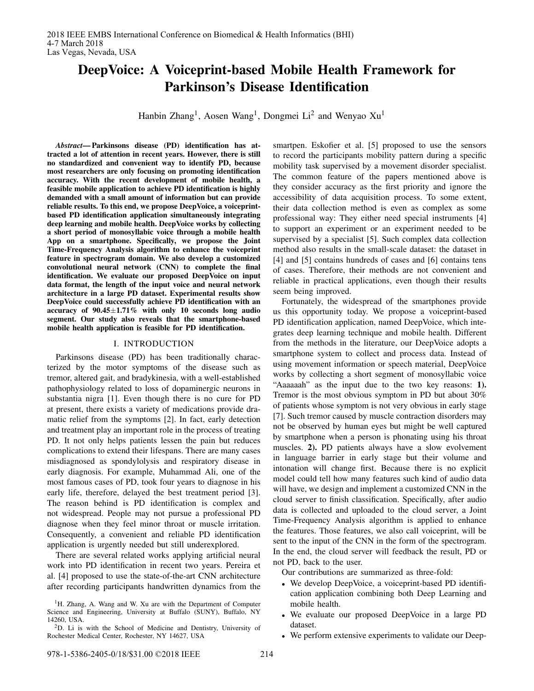# DeepVoice: A Voiceprint-based Mobile Health Framework for Parkinson's Disease Identification

Hanbin Zhang<sup>1</sup>, Aosen Wang<sup>1</sup>, Dongmei Li<sup>2</sup> and Wenyao Xu<sup>1</sup>

*Abstract*— Parkinsons disease (PD) identification has attracted a lot of attention in recent years. However, there is still no standardized and convenient way to identify PD, because most researchers are only focusing on promoting identification accuracy. With the recent development of mobile health, a feasible mobile application to achieve PD identification is highly demanded with a small amount of information but can provide reliable results. To this end, we propose DeepVoice, a voiceprintbased PD identification application simultaneously integrating deep learning and mobile health. DeepVoice works by collecting a short period of monosyllabic voice through a mobile health App on a smartphone. Specifically, we propose the Joint Time-Frequency Analysis algorithm to enhance the voiceprint feature in spectrogram domain. We also develop a customized convolutional neural network (CNN) to complete the final identification. We evaluate our proposed DeepVoice on input data format, the length of the input voice and neural network architecture in a large PD dataset. Experimental results show DeepVoice could successfully achieve PD identification with an accuracy of 90.45±1.71% with only 10 seconds long audio segment. Our study also reveals that the smartphone-based mobile health application is feasible for PD identification.

#### I. INTRODUCTION

Parkinsons disease (PD) has been traditionally characterized by the motor symptoms of the disease such as tremor, altered gait, and bradykinesia, with a well-established pathophysiology related to loss of dopaminergic neurons in substantia nigra [1]. Even though there is no cure for PD at present, there exists a variety of medications provide dramatic relief from the symptoms [2]. In fact, early detection and treatment play an important role in the process of treating PD. It not only helps patients lessen the pain but reduces complications to extend their lifespans. There are many cases misdiagnosed as spondylolysis and respiratory disease in early diagnosis. For example, Muhammad Ali, one of the most famous cases of PD, took four years to diagnose in his early life, therefore, delayed the best treatment period [3]. The reason behind is PD identification is complex and not widespread. People may not pursue a professional PD diagnose when they feel minor throat or muscle irritation. Consequently, a convenient and reliable PD identification application is urgently needed but still underexplored.

There are several related works applying artificial neural work into PD identification in recent two years. Pereira et al. [4] proposed to use the state-of-the-art CNN architecture after recording participants handwritten dynamics from the

2D. Li is with the School of Medicine and Dentistry, University of Rochester Medical Center, Rochester, NY 14627, USA

smartpen. Eskofier et al. [5] proposed to use the sensors to record the participants mobility pattern during a specific mobility task supervised by a movement disorder specialist. The common feature of the papers mentioned above is they consider accuracy as the first priority and ignore the accessibility of data acquisition process. To some extent, their data collection method is even as complex as some professional way: They either need special instruments [4] to support an experiment or an experiment needed to be supervised by a specialist [5]. Such complex data collection method also results in the small-scale dataset: the dataset in [4] and [5] contains hundreds of cases and [6] contains tens of cases. Therefore, their methods are not convenient and reliable in practical applications, even though their results seem being improved.

Fortunately, the widespread of the smartphones provide us this opportunity today. We propose a voiceprint-based PD identification application, named DeepVoice, which integrates deep learning technique and mobile health. Different from the methods in the literature, our DeepVoice adopts a smartphone system to collect and process data. Instead of using movement information or speech material, DeepVoice works by collecting a short segment of monosyllabic voice "Aaaaaah" as the input due to the two key reasons: 1). Tremor is the most obvious symptom in PD but about 30% of patients whose symptom is not very obvious in early stage [7]. Such tremor caused by muscle contraction disorders may not be observed by human eyes but might be well captured by smartphone when a person is phonating using his throat muscles. 2). PD patients always have a slow evolvement in language barrier in early stage but their volume and intonation will change first. Because there is no explicit model could tell how many features such kind of audio data will have, we design and implement a customized CNN in the cloud server to finish classification. Specifically, after audio data is collected and uploaded to the cloud server, a Joint Time-Frequency Analysis algorithm is applied to enhance the features. Those features, we also call voiceprint, will be sent to the input of the CNN in the form of the spectrogram. In the end, the cloud server will feedback the result, PD or not PD, back to the user.

Our contributions are summarized as three-fold:

- We develop DeepVoice, a voiceprint-based PD identification application combining both Deep Learning and mobile health.
- We evaluate our proposed DeepVoice in a large PD dataset.
- We perform extensive experiments to validate our Deep-

<sup>&</sup>lt;sup>1</sup>H. Zhang, A. Wang and W. Xu are with the Department of Computer Science and Engineering, University at Buffalo (SUNY), Buffalo, NY 14260, USA.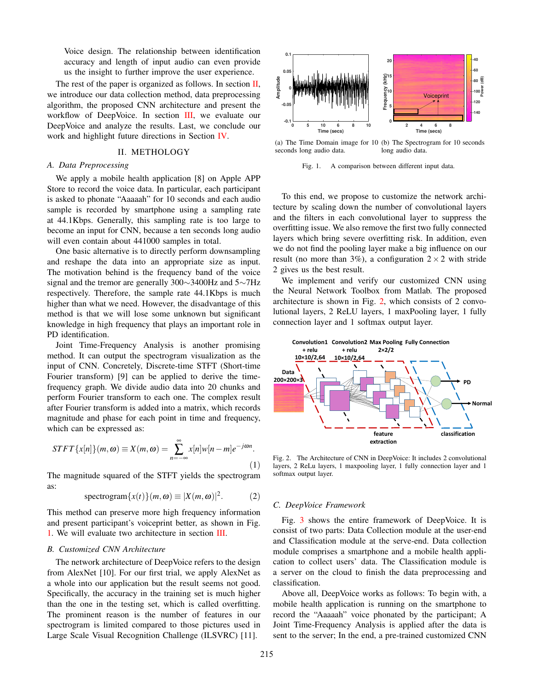Voice design. The relationship between identification accuracy and length of input audio can even provide us the insight to further improve the user experience.

The rest of the paper is organized as follows. In section  $II$ , we introduce our data collection method, data preprocessing algorithm, the proposed CNN architecture and present the workflow of DeepVoice. In section III, we evaluate our DeepVoice and analyze the results. Last, we conclude our work and highlight future directions in Section IV.

## II. METHOLOGY

#### *A. Data Preprocessing*

We apply a mobile health application [8] on Apple APP Store to record the voice data. In particular, each participant is asked to phonate "Aaaaah" for 10 seconds and each audio sample is recorded by smartphone using a sampling rate at 44.1Kbps. Generally, this sampling rate is too large to become an input for CNN, because a ten seconds long audio will even contain about 441000 samples in total.

One basic alternative is to directly perform downsampling and reshape the data into an appropriate size as input. The motivation behind is the frequency band of the voice signal and the tremor are generally 300∼3400Hz and 5∼7Hz respectively. Therefore, the sample rate 44.1Kbps is much higher than what we need. However, the disadvantage of this method is that we will lose some unknown but significant knowledge in high frequency that plays an important role in PD identification.

Joint Time-Frequency Analysis is another promising method. It can output the spectrogram visualization as the input of CNN. Concretely, Discrete-time STFT (Short-time Fourier transform) [9] can be applied to derive the timefrequency graph. We divide audio data into 20 chunks and perform Fourier transform to each one. The complex result after Fourier transform is added into a matrix, which records magnitude and phase for each point in time and frequency, which can be expressed as:

$$
STFT\{x[n]\}(m,\omega) \equiv X(m,\omega) = \sum_{n=-\infty}^{\infty} x[n]w[n-m]e^{-j\omega n}.
$$
\n(1)

The magnitude squared of the STFT yields the spectrogram as:

$$
spectrogram{x(t)}{(m, \omega)} \equiv |X(m, \omega)|^2. \tag{2}
$$

This method can preserve more high frequency information and present participant's voiceprint better, as shown in Fig. 1. We will evaluate two architecture in section III.

#### *B. Customized CNN Architecture*

The network architecture of DeepVoice refers to the design from AlexNet [10]. For our first trial, we apply AlexNet as a whole into our application but the result seems not good. Specifically, the accuracy in the training set is much higher than the one in the testing set, which is called overfitting. The prominent reason is the number of features in our spectrogram is limited compared to those pictures used in Large Scale Visual Recognition Challenge (ILSVRC) [11].



(a) The Time Domain image for 10 (b) The Spectrogram for 10 seconds seconds long audio data. long audio data.

Fig. 1. A comparison between different input data.

To this end, we propose to customize the network architecture by scaling down the number of convolutional layers and the filters in each convolutional layer to suppress the overfitting issue. We also remove the first two fully connected layers which bring severe overfitting risk. In addition, even we do not find the pooling layer make a big influence on our result (no more than 3%), a configuration  $2 \times 2$  with stride 2 gives us the best result.

We implement and verify our customized CNN using the Neural Network Toolbox from Matlab. The proposed architecture is shown in Fig. 2, which consists of 2 convolutional layers, 2 ReLU layers, 1 maxPooling layer, 1 fully connection layer and 1 softmax output layer.



Fig. 2. The Architecture of CNN in DeepVoice: It includes 2 convolutional layers, 2 ReLu layers, 1 maxpooling layer, 1 fully connection layer and 1 softmax output layer.

#### *C. DeepVoice Framework*

Fig. 3 shows the entire framework of DeepVoice. It is consist of two parts: Data Collection module at the user-end and Classification module at the serve-end. Data collection module comprises a smartphone and a mobile health application to collect users' data. The Classification module is a server on the cloud to finish the data preprocessing and classification.

Above all, DeepVoice works as follows: To begin with, a mobile health application is running on the smartphone to record the "Aaaaah" voice phonated by the participant; A Joint Time-Frequency Analysis is applied after the data is sent to the server; In the end, a pre-trained customized CNN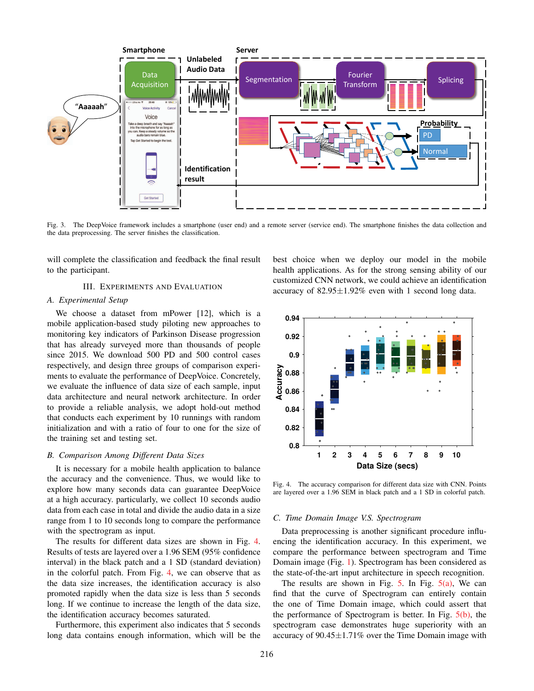

Fig. 3. The DeepVoice framework includes a smartphone (user end) and a remote server (service end). The smartphone finishes the data collection and the data preprocessing. The server finishes the classification.

will complete the classification and feedback the final result to the participant.

# III. EXPERIMENTS AND EVALUATION

#### *A. Experimental Setup*

We choose a dataset from mPower [12], which is a mobile application-based study piloting new approaches to monitoring key indicators of Parkinson Disease progression that has already surveyed more than thousands of people since 2015. We download 500 PD and 500 control cases respectively, and design three groups of comparison experiments to evaluate the performance of DeepVoice. Concretely, we evaluate the influence of data size of each sample, input data architecture and neural network architecture. In order to provide a reliable analysis, we adopt hold-out method that conducts each experiment by 10 runnings with random initialization and with a ratio of four to one for the size of the training set and testing set.

#### *B. Comparison Among Different Data Sizes*

It is necessary for a mobile health application to balance the accuracy and the convenience. Thus, we would like to explore how many seconds data can guarantee DeepVoice at a high accuracy. particularly, we collect 10 seconds audio data from each case in total and divide the audio data in a size range from 1 to 10 seconds long to compare the performance with the spectrogram as input.

The results for different data sizes are shown in Fig. 4. Results of tests are layered over a 1.96 SEM (95% confidence interval) in the black patch and a 1 SD (standard deviation) in the colorful patch. From Fig. 4, we can observe that as the data size increases, the identification accuracy is also promoted rapidly when the data size is less than 5 seconds long. If we continue to increase the length of the data size, the identification accuracy becomes saturated.

Furthermore, this experiment also indicates that 5 seconds long data contains enough information, which will be the best choice when we deploy our model in the mobile health applications. As for the strong sensing ability of our customized CNN network, we could achieve an identification accuracy of  $82.95 \pm 1.92\%$  even with 1 second long data.



Fig. 4. The accuracy comparison for different data size with CNN. Points are layered over a 1.96 SEM in black patch and a 1 SD in colorful patch.

# *C. Time Domain Image V.S. Spectrogram*

Data preprocessing is another significant procedure influencing the identification accuracy. In this experiment, we compare the performance between spectrogram and Time Domain image (Fig. 1). Spectrogram has been considered as the state-of-the-art input architecture in speech recognition.

The results are shown in Fig. 5. In Fig.  $5(a)$ , We can find that the curve of Spectrogram can entirely contain the one of Time Domain image, which could assert that the performance of Spectrogram is better. In Fig.  $5(b)$ , the spectrogram case demonstrates huge superiority with an accuracy of  $90.45 \pm 1.71\%$  over the Time Domain image with